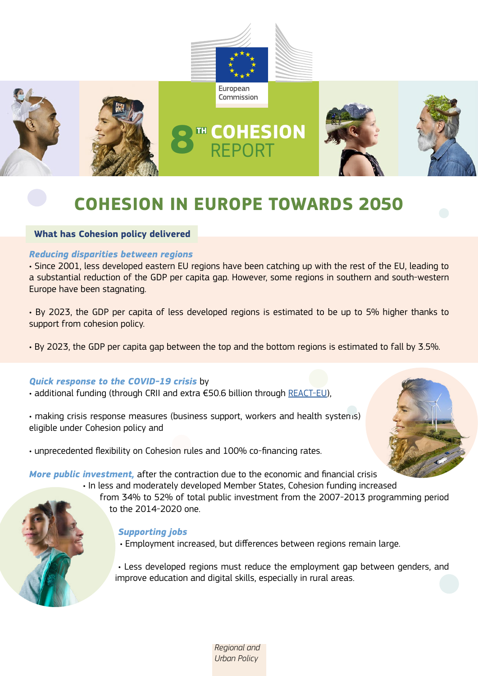

# **COHESION IN EUROPE TOWARDS 2050**

# **What has Cohesion policy delivered**

# *Reducing disparities between regions*

• Since 2001, less developed eastern EU regions have been catching up with the rest of the EU, leading to a substantial reduction of the GDP per capita gap. However, some regions in southern and south-western Europe have been stagnating.

• By 2023, the GDP per capita of less developed regions is estimated to be up to 5% higher thanks to support from cohesion policy.

• By 2023, the GDP per capita gap between the top and the bottom regions is estimated to fall by 3.5%.

# *Quick response to the COVID-19 crisis* by

• additional funding (through CRII and extra €50.6 billion through [REACT-EU](https://ec.europa.eu/regional_policy/en/newsroom/coronavirus-response/react-eu/)),

• making crisis response measures (business support, workers and health systems) eligible under Cohesion policy and

• unprecedented flexibility on Cohesion rules and 100% co-financing rates.



*More public investment,* after the contraction due to the economic and financial crisis

• In less and moderately developed Member States, Cohesion funding increased

from 34% to 52% of total public investment from the 2007-2013 programming period to the 2014-2020 one.

# *Supporting jobs*

• Employment increased, but differences between regions remain large.

• Less developed regions must reduce the employment gap between genders, and improve education and digital skills, especially in rural areas.

> *Regional and Urban Policy*